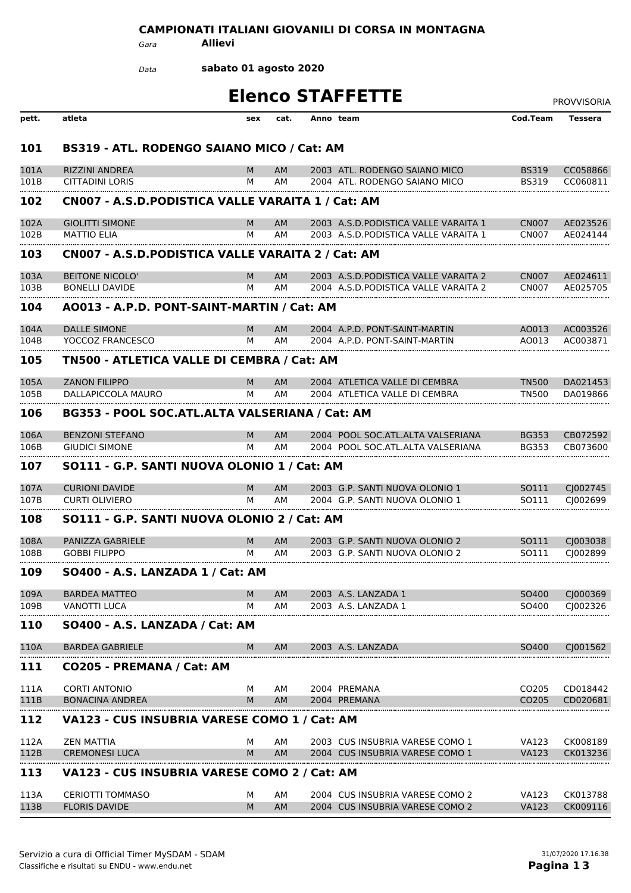## **CAMPIONATI ITALIANI GIOVANILI DI CORSA IN MONTAGNA**

*Gara* **Allievi**

**sabato 01 agosto 2020** *Data*

| <b>Elenco STAFFETTE</b> | PROVVISORIA |
|-------------------------|-------------|
|                         |             |

|       |                                                   |     |           |                                       |                   | <b>FNUVVIJUNIA</b> |
|-------|---------------------------------------------------|-----|-----------|---------------------------------------|-------------------|--------------------|
| pett. | atleta                                            | sex | cat.      | Anno team                             | Cod.Team          | <b>Tessera</b>     |
| 101   | BS319 - ATL. RODENGO SAIANO MICO / Cat: AM        |     |           |                                       |                   |                    |
| 101A  | <b>RIZZINI ANDREA</b>                             | м   | AM        | 2003 ATL. RODENGO SAIANO MICO         | <b>BS319</b>      | CC058866           |
| 101B  | <b>CITTADINI LORIS</b>                            | м   | AМ        | 2004 ATL. RODENGO SAIANO MICO         | <b>BS319</b>      | CC060811           |
| 102   | CN007 - A.S.D.PODISTICA VALLE VARAITA 1 / Cat: AM |     |           |                                       |                   |                    |
| 102A  | <b>GIOLITTI SIMONE</b>                            | M   | <b>AM</b> | 2003 A.S.D. PODISTICA VALLE VARAITA 1 | <b>CN007</b>      | AE023526           |
| 102B  | <b>MATTIO ELIA</b>                                | м   | AM        | 2003 A.S.D. PODISTICA VALLE VARAITA 1 | CN <sub>007</sub> | AE024144           |
| 103   | CN007 - A.S.D.PODISTICA VALLE VARAITA 2 / Cat: AM |     |           |                                       |                   |                    |
| 103A  | <b>BEITONE NICOLO'</b>                            | M   | AM.       | 2003 A.S.D. PODISTICA VALLE VARAITA 2 | <b>CN007</b>      | AE024611           |
| 103B  | <b>BONELLI DAVIDE</b>                             | м   | AМ        | 2004 A.S.D. PODISTICA VALLE VARAITA 2 | <b>CN007</b>      | AE025705           |
| 104   | A0013 - A.P.D. PONT-SAINT-MARTIN / Cat: AM        |     |           |                                       |                   |                    |
| 104A  | <b>DALLE SIMONE</b>                               | M   | AM.       | 2004 A.P.D. PONT-SAINT-MARTIN         | AO013             | AC003526           |
| 104B  | YOCCOZ FRANCESCO                                  | м   | AМ        | 2004 A.P.D. PONT-SAINT-MARTIN         | AO013             | AC003871           |
| 105   | TN500 - ATLETICA VALLE DI CEMBRA / Cat: AM        |     |           |                                       |                   |                    |
| 105A  | <b>ZANON FILIPPO</b>                              | М   | AM.       | 2004 ATLETICA VALLE DI CEMBRA         | <b>TN500</b>      | DA021453           |
| 105B  | DALLAPICCOLA MAURO                                | м   | AM        | 2004 ATLETICA VALLE DI CEMBRA         | TN500             | DA019866           |
| 106   | BG353 - POOL SOC.ATL.ALTA VALSERIANA / Cat: AM    |     |           |                                       |                   |                    |
| 106A  | <b>BENZONI STEFANO</b>                            | M   | AM.       | 2004 POOL SOC. ATL. ALTA VALSERIANA   | <b>BG353</b>      | CB072592           |
| 106B  | <b>GIUDICI SIMONE</b>                             | м   | AM        | 2004 POOL SOC.ATL.ALTA VALSERIANA     | <b>BG353</b>      | CB073600           |
| 107   | SO111 - G.P. SANTI NUOVA OLONIO 1 / Cat: AM       |     |           |                                       |                   |                    |
| 107A  | <b>CURIONI DAVIDE</b>                             | м   | AM        | 2003 G.P. SANTI NUOVA OLONIO 1        | SO111             | CJ002745           |
| 107B  | <b>CURTI OLIVIERO</b>                             | м   | AМ        | 2004 G.P. SANTI NUOVA OLONIO 1        | SO111             | CJ002699           |
| 108   | SO111 - G.P. SANTI NUOVA OLONIO 2 / Cat: AM       |     |           |                                       |                   |                    |
| 108A  | <b>PANIZZA GABRIELE</b>                           | M   | AM        | 2003 G.P. SANTI NUOVA OLONIO 2        | SO111             | CJ003038           |
| 108B  | <b>GOBBI FILIPPO</b>                              | м   | AМ        | 2003. G.P. SANTI NUOVA OLONIO 2       | SO111             | CI002899           |
| 109   | SO400 - A.S. LANZADA 1 / Cat: AM                  |     |           |                                       |                   |                    |
| 109A  | <b>BARDEA MATTEO</b>                              | м   | AM.       | 2003 A.S. LANZADA 1                   | SO400             | CJ000369           |
| 109B  | VANOTTI LUCA                                      | м   | AΜ        | 2003 A.S. LANZADA 1                   | SO400             | CI002326           |
| 110   | SO400 - A.S. LANZADA / Cat: AM                    |     |           |                                       |                   |                    |
| 110A  | <b>BARDEA GABRIELE</b>                            | м   | AM        | 2003 A.S. LANZADA                     | SO400             | CJ001562           |
| 111   | CO205 - PREMANA / Cat: AM                         |     |           |                                       |                   |                    |
| 111A  | <b>CORTI ANTONIO</b>                              | м   | AM        | 2004 PREMANA                          | CO <sub>205</sub> | CD018442           |
| 111B  | <b>BONACINA ANDREA</b>                            | М   | AM        | 2004 PREMANA                          | CO205             | CD020681           |
| 112   | VA123 - CUS INSUBRIA VARESE COMO 1 / Cat: AM      |     |           |                                       |                   |                    |
| 112A  | <b>ZEN MATTIA</b>                                 | м   | AM        | 2003 CUS INSUBRIA VARESE COMO 1       | VA123             | CK008189           |
| 112B  | <b>CREMONESI LUCA</b>                             | M   | <b>AM</b> | 2004 CUS INSUBRIA VARESE COMO 1       | VA123             | CK013236           |
| 113   | VA123 - CUS INSUBRIA VARESE COMO 2 / Cat: AM      |     |           |                                       |                   |                    |
| 113A  | <b>CERIOTTI TOMMASO</b>                           | м   | AM        | 2004 CUS INSUBRIA VARESE COMO 2       | VA123             | CK013788           |
| 113B  | <b>FLORIS DAVIDE</b>                              | M   | <b>AM</b> | 2004 CUS INSUBRIA VARESE COMO 2       | <b>VA123</b>      | CK009116           |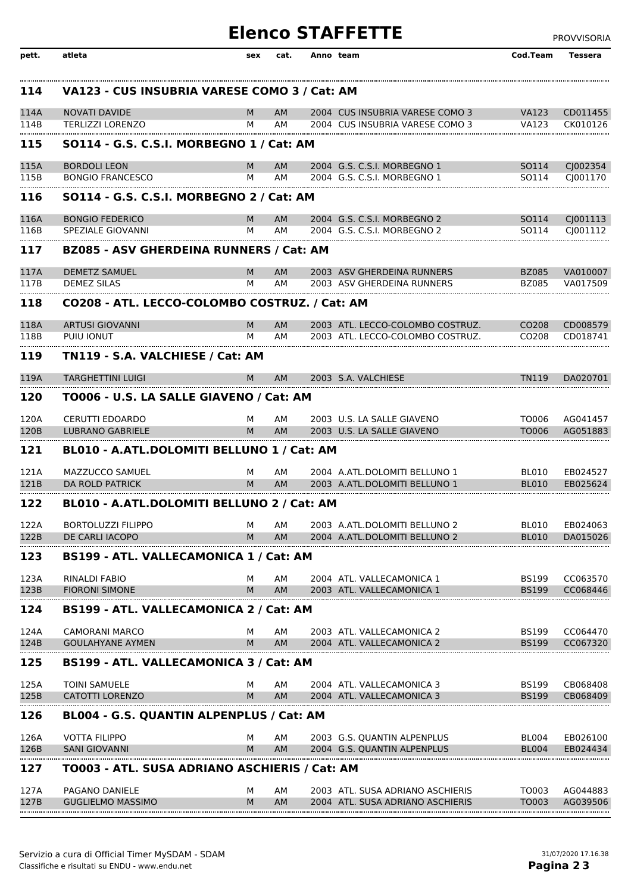## **Elenco STAFFETTE** PROVVISORIA

| pett. | atleta                                          | sex | cat.      | Anno team                        | Cod.Team          | Tessera              |
|-------|-------------------------------------------------|-----|-----------|----------------------------------|-------------------|----------------------|
| 114   | VA123 - CUS INSUBRIA VARESE COMO 3 / Cat: AM    |     |           |                                  |                   |                      |
| 114A  | <b>NOVATI DAVIDE</b>                            | м   | <b>AM</b> | 2004 CUS INSUBRIA VARESE COMO 3  | <b>VA123</b>      | CD011455             |
| 114B  | <b>TERLIZZI LORENZO</b>                         | м   | AM        | 2004 CUS INSUBRIA VARESE COMO 3  | <b>VA123</b>      | CK010126             |
| 115   | SO114 - G.S. C.S.I. MORBEGNO 1 / Cat: AM        |     |           |                                  |                   |                      |
| 115A  | <b>BORDOLI LEON</b>                             | м   | <b>AM</b> | 2004 G.S. C.S.I. MORBEGNO 1      | SO114             | CJ002354             |
| 115B  | <b>BONGIO FRANCESCO</b>                         | м   | AМ        | 2004 G.S. C.S.I. MORBEGNO 1      | SO114             | CI001170             |
| 116   | <b>SO114 - G.S. C.S.I. MORBEGNO 2 / Cat: AM</b> |     |           |                                  |                   |                      |
| 116A  | <b>BONGIO FEDERICO</b>                          | M   | <b>AM</b> | 2004 G.S. C.S.I. MORBEGNO 2      | SO114             | C <sub>1001113</sub> |
| 116B  | SPEZIALE GIOVANNI                               | м   | AM        | 2004 G.S. C.S.I. MORBEGNO 2      | SO114             | C <sub>1001112</sub> |
| 117   | <b>BZ085 - ASV GHERDEINA RUNNERS / Cat: AM</b>  |     |           |                                  |                   |                      |
| 117A  | <b>DEMETZ SAMUEL</b>                            | м   | AM        | 2003 ASV GHERDEINA RUNNERS       | <b>BZ085</b>      | VA010007             |
| 117B  | <b>DEMEZ SILAS</b>                              | м   | AМ        | 2003 ASV GHERDEINA RUNNERS       | <b>BZ085</b>      | VA017509             |
| 118   | CO208 - ATL. LECCO-COLOMBO COSTRUZ. / Cat: AM   |     |           |                                  |                   |                      |
| 118A  | <b>ARTUSI GIOVANNI</b>                          | M   | <b>AM</b> | 2003 ATL. LECCO-COLOMBO COSTRUZ. | CO <sub>208</sub> | CD008579             |
| 118B  | PUIU IONUT                                      | м   | AМ        | 2003 ATL. LECCO-COLOMBO COSTRUZ. | CO208             | CD018741             |
| 119   | TN119 - S.A. VALCHIESE / Cat: AM                |     |           |                                  |                   |                      |
| 119A  | <b>TARGHETTINI LUIGI</b>                        | м   | <b>AM</b> | 2003 S.A. VALCHIESE              | TN119             | DA020701             |
| 120   | TO006 - U.S. LA SALLE GIAVENO / Cat: AM         |     |           |                                  |                   |                      |
| 120A  | <b>CERUTTI EDOARDO</b>                          | м   | AM        | 2003 U.S. LA SALLE GIAVENO       | TO006             | AG041457             |
| 120B  | <b>LUBRANO GABRIELE</b>                         | M   | <b>AM</b> | 2003 U.S. LA SALLE GIAVENO       | TO006             | AG051883             |
| 121   | BL010 - A.ATL.DOLOMITI BELLUNO 1 / Cat: AM      |     |           |                                  |                   |                      |
| 121A  | MAZZUCCO SAMUEL                                 | м   | AM        | 2004 A.ATL.DOLOMITI BELLUNO 1    | <b>BL010</b>      | EB024527             |
| 121B  | <b>DA ROLD PATRICK</b>                          | M   | <b>AM</b> | 2003 A.ATL.DOLOMITI BELLUNO 1    | BI 010            | EB025624             |
| 122   | BL010 - A.ATL.DOLOMITI BELLUNO 2 / Cat: AM      |     |           |                                  |                   |                      |
| 122A  | <b>BORTOLUZZI FILIPPO</b>                       | М   | AM        | 2003 A.ATL.DOLOMITI BELLUNO 2    | BL010             | EB024063             |
| 122B  | DE CARLI IACOPO                                 | M   | <b>AM</b> | 2004 A.ATL.DOLOMITI BELLUNO 2    | BL010             | DA015026             |
| 123   | BS199 - ATL. VALLECAMONICA 1 / Cat: AM          |     |           |                                  |                   |                      |
| 123A  | <b>RINALDI FABIO</b>                            | м   | AM        | 2004 ATL. VALLECAMONICA 1        | <b>BS199</b>      | CC063570             |
| 123B  | <b>FIORONI SIMONE</b>                           | M   | <b>AM</b> | 2003 ATL, VALLECAMONICA 1        | <b>BS199</b>      | CC068446             |
| 124   | BS199 - ATL. VALLECAMONICA 2 / Cat: AM          |     |           |                                  |                   |                      |
| 124A  | <b>CAMORANI MARCO</b>                           | м   | AM        | 2003 ATL. VALLECAMONICA 2        | <b>BS199</b>      | CC064470             |
| 124B  | <b>GOULAHYANE AYMEN</b>                         | M   | <b>AM</b> | 2004 ATL. VALLECAMONICA 2        | <b>BS199</b>      | CC067320             |
| 125   | BS199 - ATL. VALLECAMONICA 3 / Cat: AM          |     |           |                                  |                   |                      |
| 125A  | <b>TOINI SAMUELE</b>                            | м   | AM        | 2004 ATL. VALLECAMONICA 3        | <b>BS199</b>      | CB068408             |
| 125B  | CATOTTI LORENZO                                 | M   | AM        | 2004 ATL. VALLECAMONICA 3        | <b>BS199</b>      | CB068409             |
| 126   | BL004 - G.S. QUANTIN ALPENPLUS / Cat: AM        |     |           |                                  |                   |                      |
| 126A  | <b>VOTTA FILIPPO</b>                            | м   | AM        | 2003 G.S. QUANTIN ALPENPLUS      | <b>BL004</b>      | EB026100             |
| 126B  | <b>SANI GIOVANNI</b>                            | м   | AM        | 2004 G.S. QUANTIN ALPENPLUS      | BL004             | EB024434             |
| 127   | TO003 - ATL. SUSA ADRIANO ASCHIERIS / Cat: AM   |     |           |                                  |                   |                      |
| 127A  | PAGANO DANIELE                                  | м   | AΜ        | 2003 ATL. SUSA ADRIANO ASCHIERIS | TO003             | AG044883             |
| 127B  | <b>GUGLIELMO MASSIMO</b>                        | M   | AМ        | 2004 ATL. SUSA ADRIANO ASCHIERIS | TO003             | AG039506             |